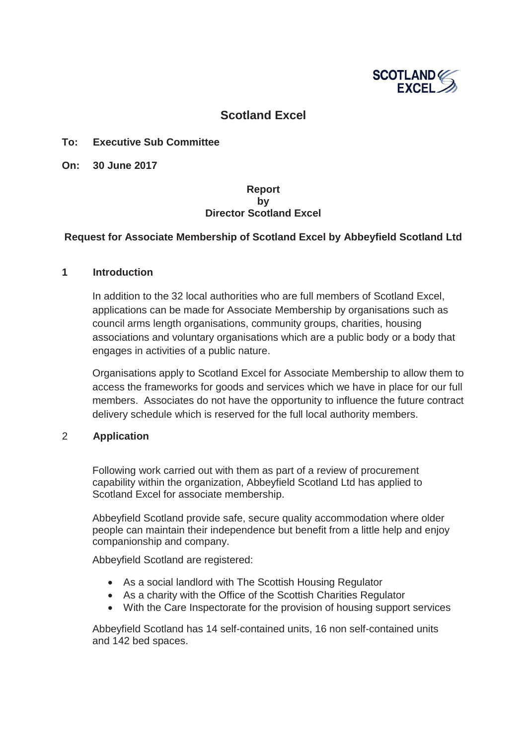

# **Scotland Excel**

### **To: Executive Sub Committee**

**On: 30 June 2017**

## **Report by Director Scotland Excel**

## **Request for Associate Membership of Scotland Excel by Abbeyfield Scotland Ltd**

#### **1 Introduction**

In addition to the 32 local authorities who are full members of Scotland Excel, applications can be made for Associate Membership by organisations such as council arms length organisations, community groups, charities, housing associations and voluntary organisations which are a public body or a body that engages in activities of a public nature.

Organisations apply to Scotland Excel for Associate Membership to allow them to access the frameworks for goods and services which we have in place for our full members. Associates do not have the opportunity to influence the future contract delivery schedule which is reserved for the full local authority members.

#### 2 **Application**

Following work carried out with them as part of a review of procurement capability within the organization, Abbeyfield Scotland Ltd has applied to Scotland Excel for associate membership.

Abbeyfield Scotland provide safe, secure quality accommodation where older people can maintain their independence but benefit from a little help and enjoy companionship and company.

Abbeyfield Scotland are registered:

- As a social landlord with The Scottish Housing Regulator
- As a charity with the Office of the Scottish Charities Regulator
- With the Care Inspectorate for the provision of housing support services

Abbeyfield Scotland has 14 self-contained units, 16 non self-contained units and 142 bed spaces.